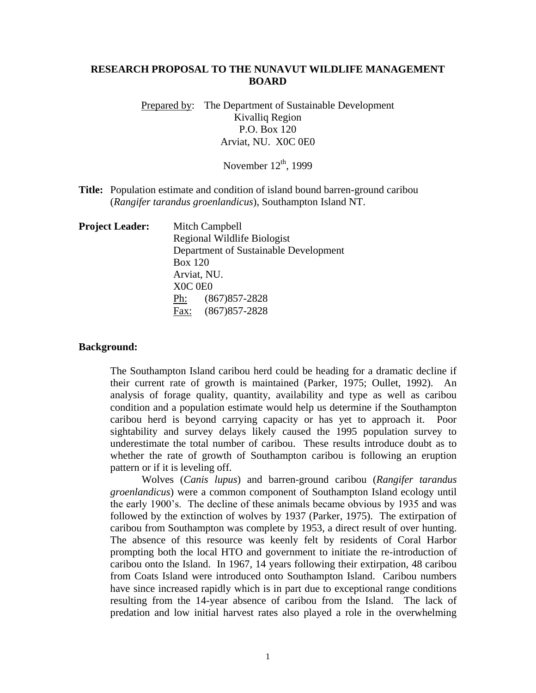# **RESEARCH PROPOSAL TO THE NUNAVUT WILDLIFE MANAGEMENT BOARD**

Prepared by: The Department of Sustainable Development Kivalliq Region P.O. Box 120 Arviat, NU. X0C 0E0

November  $12<sup>th</sup>$ , 1999

**Title:** Population estimate and condition of island bound barren-ground caribou (*Rangifer tarandus groenlandicus*), Southampton Island NT.

| <b>Project Leader:</b> | Mitch Campbell                        |  |  |  |
|------------------------|---------------------------------------|--|--|--|
|                        | Regional Wildlife Biologist           |  |  |  |
|                        | Department of Sustainable Development |  |  |  |
|                        | <b>Box 120</b>                        |  |  |  |
|                        | Arviat, NU.                           |  |  |  |
|                        | XOC OEO                               |  |  |  |
|                        | $(867)857 - 2828$<br>Ph:              |  |  |  |
|                        | Fax: (867) 857-2828                   |  |  |  |
|                        |                                       |  |  |  |

#### **Background:**

The Southampton Island caribou herd could be heading for a dramatic decline if their current rate of growth is maintained (Parker, 1975; Oullet, 1992). An analysis of forage quality, quantity, availability and type as well as caribou condition and a population estimate would help us determine if the Southampton caribou herd is beyond carrying capacity or has yet to approach it. Poor sightability and survey delays likely caused the 1995 population survey to underestimate the total number of caribou. These results introduce doubt as to whether the rate of growth of Southampton caribou is following an eruption pattern or if it is leveling off.

Wolves (*Canis lupus*) and barren-ground caribou (*Rangifer tarandus groenlandicus*) were a common component of Southampton Island ecology until the early 1900's. The decline of these animals became obvious by 1935 and was followed by the extinction of wolves by 1937 (Parker, 1975). The extirpation of caribou from Southampton was complete by 1953, a direct result of over hunting. The absence of this resource was keenly felt by residents of Coral Harbor prompting both the local HTO and government to initiate the re-introduction of caribou onto the Island. In 1967, 14 years following their extirpation, 48 caribou from Coats Island were introduced onto Southampton Island. Caribou numbers have since increased rapidly which is in part due to exceptional range conditions resulting from the 14-year absence of caribou from the Island. The lack of predation and low initial harvest rates also played a role in the overwhelming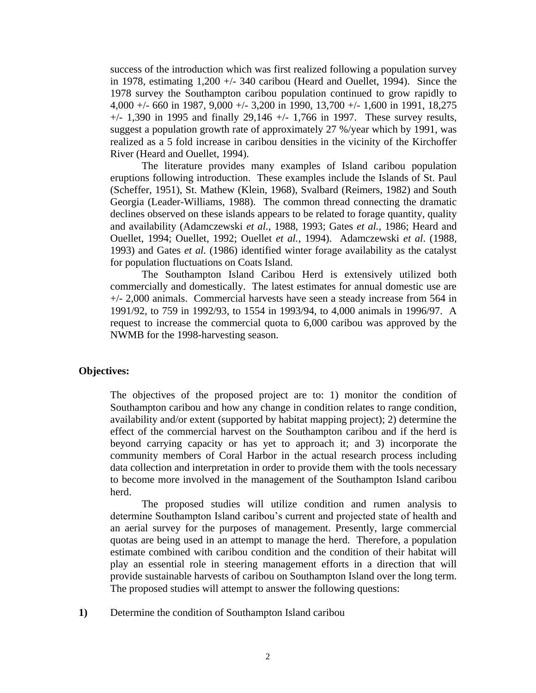success of the introduction which was first realized following a population survey in 1978, estimating 1,200 +/- 340 caribou (Heard and Ouellet, 1994). Since the 1978 survey the Southampton caribou population continued to grow rapidly to 4,000 +/- 660 in 1987, 9,000 +/- 3,200 in 1990, 13,700 +/- 1,600 in 1991, 18,275  $+/-$  1,390 in 1995 and finally 29,146  $+/-$  1,766 in 1997. These survey results, suggest a population growth rate of approximately 27 %/year which by 1991, was realized as a 5 fold increase in caribou densities in the vicinity of the Kirchoffer River (Heard and Ouellet, 1994).

The literature provides many examples of Island caribou population eruptions following introduction. These examples include the Islands of St. Paul (Scheffer, 1951), St. Mathew (Klein, 1968), Svalbard (Reimers, 1982) and South Georgia (Leader-Williams, 1988). The common thread connecting the dramatic declines observed on these islands appears to be related to forage quantity, quality and availability (Adamczewski *et al.*, 1988, 1993; Gates *et al.*, 1986; Heard and Ouellet, 1994; Ouellet, 1992; Ouellet *et al.*, 1994). Adamczewski *et al*. (1988*,*  1993) and Gates *et al.* (1986) identified winter forage availability as the catalyst for population fluctuations on Coats Island.

The Southampton Island Caribou Herd is extensively utilized both commercially and domestically. The latest estimates for annual domestic use are +/- 2,000 animals. Commercial harvests have seen a steady increase from 564 in 1991/92, to 759 in 1992/93, to 1554 in 1993/94, to 4,000 animals in 1996/97. A request to increase the commercial quota to 6,000 caribou was approved by the NWMB for the 1998-harvesting season.

# **Objectives:**

The objectives of the proposed project are to: 1) monitor the condition of Southampton caribou and how any change in condition relates to range condition, availability and/or extent (supported by habitat mapping project); 2) determine the effect of the commercial harvest on the Southampton caribou and if the herd is beyond carrying capacity or has yet to approach it; and 3) incorporate the community members of Coral Harbor in the actual research process including data collection and interpretation in order to provide them with the tools necessary to become more involved in the management of the Southampton Island caribou herd.

The proposed studies will utilize condition and rumen analysis to determine Southampton Island caribou's current and projected state of health and an aerial survey for the purposes of management. Presently, large commercial quotas are being used in an attempt to manage the herd. Therefore, a population estimate combined with caribou condition and the condition of their habitat will play an essential role in steering management efforts in a direction that will provide sustainable harvests of caribou on Southampton Island over the long term. The proposed studies will attempt to answer the following questions:

**1)** Determine the condition of Southampton Island caribou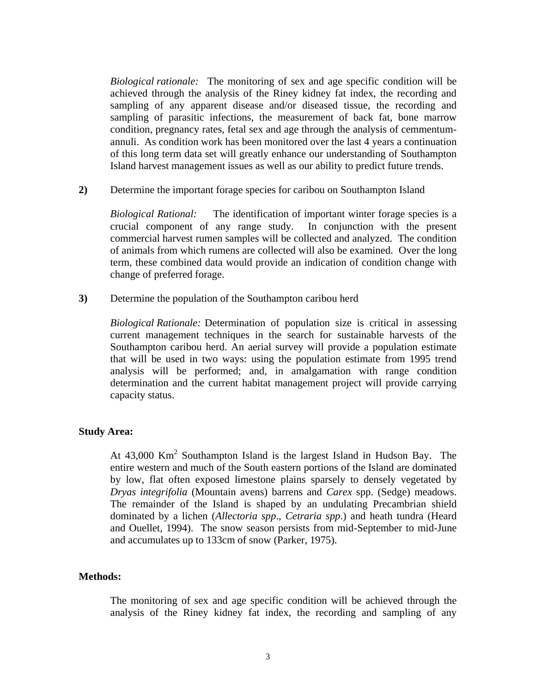*Biological rationale:* The monitoring of sex and age specific condition will be achieved through the analysis of the Riney kidney fat index, the recording and sampling of any apparent disease and/or diseased tissue, the recording and sampling of parasitic infections, the measurement of back fat, bone marrow condition, pregnancy rates, fetal sex and age through the analysis of cemmentumannuli. As condition work has been monitored over the last 4 years a continuation of this long term data set will greatly enhance our understanding of Southampton Island harvest management issues as well as our ability to predict future trends.

**2)** Determine the important forage species for caribou on Southampton Island

*Biological Rational:* The identification of important winter forage species is a crucial component of any range study. In conjunction with the present commercial harvest rumen samples will be collected and analyzed. The condition of animals from which rumens are collected will also be examined. Over the long term, these combined data would provide an indication of condition change with change of preferred forage.

**3)** Determine the population of the Southampton caribou herd

*Biological Rationale:* Determination of population size is critical in assessing current management techniques in the search for sustainable harvests of the Southampton caribou herd. An aerial survey will provide a population estimate that will be used in two ways: using the population estimate from 1995 trend analysis will be performed; and, in amalgamation with range condition determination and the current habitat management project will provide carrying capacity status.

### **Study Area:**

At  $43,000$  Km<sup>2</sup> Southampton Island is the largest Island in Hudson Bay. The entire western and much of the South eastern portions of the Island are dominated by low, flat often exposed limestone plains sparsely to densely vegetated by *Dryas integrifolia* (Mountain avens) barrens and *Carex* spp. (Sedge) meadows. The remainder of the Island is shaped by an undulating Precambrian shield dominated by a lichen (*Allectoria spp*., *Cetraria spp*.) and heath tundra (Heard and Ouellet, 1994). The snow season persists from mid-September to mid-June and accumulates up to 133cm of snow (Parker, 1975).

### **Methods:**

The monitoring of sex and age specific condition will be achieved through the analysis of the Riney kidney fat index, the recording and sampling of any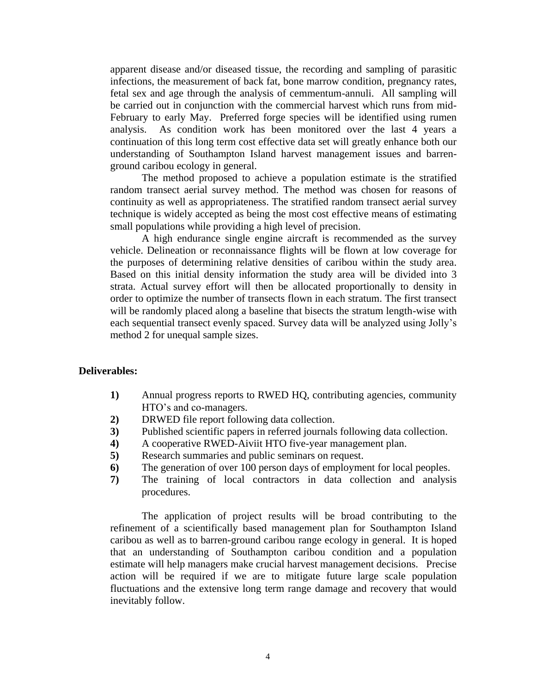apparent disease and/or diseased tissue, the recording and sampling of parasitic infections, the measurement of back fat, bone marrow condition, pregnancy rates, fetal sex and age through the analysis of cemmentum-annuli. All sampling will be carried out in conjunction with the commercial harvest which runs from mid-February to early May. Preferred forge species will be identified using rumen analysis. As condition work has been monitored over the last 4 years a continuation of this long term cost effective data set will greatly enhance both our understanding of Southampton Island harvest management issues and barrenground caribou ecology in general.

The method proposed to achieve a population estimate is the stratified random transect aerial survey method. The method was chosen for reasons of continuity as well as appropriateness. The stratified random transect aerial survey technique is widely accepted as being the most cost effective means of estimating small populations while providing a high level of precision.

A high endurance single engine aircraft is recommended as the survey vehicle. Delineation or reconnaissance flights will be flown at low coverage for the purposes of determining relative densities of caribou within the study area. Based on this initial density information the study area will be divided into 3 strata. Actual survey effort will then be allocated proportionally to density in order to optimize the number of transects flown in each stratum. The first transect will be randomly placed along a baseline that bisects the stratum length-wise with each sequential transect evenly spaced. Survey data will be analyzed using Jolly's method 2 for unequal sample sizes.

# **Deliverables:**

- **1)** Annual progress reports to RWED HQ, contributing agencies, community HTO's and co-managers.
- **2)** DRWED file report following data collection.
- **3)** Published scientific papers in referred journals following data collection.
- **4)** A cooperative RWED-Aiviit HTO five-year management plan.
- **5)** Research summaries and public seminars on request.
- **6)** The generation of over 100 person days of employment for local peoples.
- **7)** The training of local contractors in data collection and analysis procedures.

The application of project results will be broad contributing to the refinement of a scientifically based management plan for Southampton Island caribou as well as to barren-ground caribou range ecology in general. It is hoped that an understanding of Southampton caribou condition and a population estimate will help managers make crucial harvest management decisions. Precise action will be required if we are to mitigate future large scale population fluctuations and the extensive long term range damage and recovery that would inevitably follow.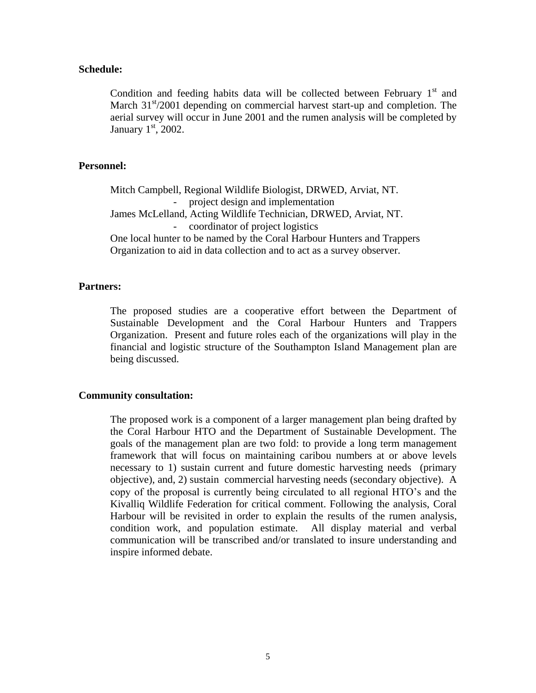#### **Schedule:**

Condition and feeding habits data will be collected between February  $1<sup>st</sup>$  and March  $31<sup>st</sup>/2001$  depending on commercial harvest start-up and completion. The aerial survey will occur in June 2001 and the rumen analysis will be completed by January  $1<sup>st</sup>$ , 2002.

# **Personnel:**

Mitch Campbell, Regional Wildlife Biologist, DRWED, Arviat, NT. project design and implementation James McLelland, Acting Wildlife Technician, DRWED, Arviat, NT. - coordinator of project logistics One local hunter to be named by the Coral Harbour Hunters and Trappers Organization to aid in data collection and to act as a survey observer.

#### **Partners:**

The proposed studies are a cooperative effort between the Department of Sustainable Development and the Coral Harbour Hunters and Trappers Organization. Present and future roles each of the organizations will play in the financial and logistic structure of the Southampton Island Management plan are being discussed.

#### **Community consultation:**

The proposed work is a component of a larger management plan being drafted by the Coral Harbour HTO and the Department of Sustainable Development. The goals of the management plan are two fold: to provide a long term management framework that will focus on maintaining caribou numbers at or above levels necessary to 1) sustain current and future domestic harvesting needs (primary objective), and, 2) sustain commercial harvesting needs (secondary objective). A copy of the proposal is currently being circulated to all regional HTO's and the Kivalliq Wildlife Federation for critical comment. Following the analysis, Coral Harbour will be revisited in order to explain the results of the rumen analysis, condition work, and population estimate. All display material and verbal communication will be transcribed and/or translated to insure understanding and inspire informed debate.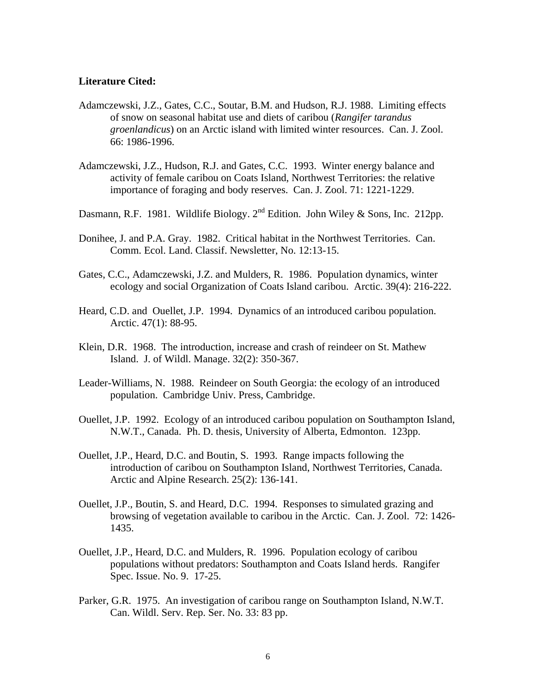#### **Literature Cited:**

- Adamczewski, J.Z., Gates, C.C., Soutar, B.M. and Hudson, R.J. 1988. Limiting effects of snow on seasonal habitat use and diets of caribou (*Rangifer tarandus groenlandicus*) on an Arctic island with limited winter resources. Can. J. Zool. 66: 1986-1996.
- Adamczewski, J.Z., Hudson, R.J. and Gates, C.C. 1993. Winter energy balance and activity of female caribou on Coats Island, Northwest Territories: the relative importance of foraging and body reserves. Can. J. Zool. 71: 1221-1229.
- Dasmann, R.F. 1981. Wildlife Biology.  $2^{nd}$  Edition. John Wiley & Sons, Inc. 212pp.
- Donihee, J. and P.A. Gray. 1982. Critical habitat in the Northwest Territories. Can. Comm. Ecol. Land. Classif. Newsletter, No. 12:13-15.
- Gates, C.C., Adamczewski, J.Z. and Mulders, R. 1986. Population dynamics, winter ecology and social Organization of Coats Island caribou. Arctic. 39(4): 216-222.
- Heard, C.D. and Ouellet, J.P. 1994. Dynamics of an introduced caribou population. Arctic. 47(1): 88-95.
- Klein, D.R. 1968. The introduction, increase and crash of reindeer on St. Mathew Island. J. of Wildl. Manage. 32(2): 350-367.
- Leader-Williams, N. 1988. Reindeer on South Georgia: the ecology of an introduced population. Cambridge Univ. Press, Cambridge.
- Ouellet, J.P. 1992. Ecology of an introduced caribou population on Southampton Island, N.W.T., Canada. Ph. D. thesis, University of Alberta, Edmonton. 123pp.
- Ouellet, J.P., Heard, D.C. and Boutin, S. 1993. Range impacts following the introduction of caribou on Southampton Island, Northwest Territories, Canada. Arctic and Alpine Research. 25(2): 136-141.
- Ouellet, J.P., Boutin, S. and Heard, D.C. 1994. Responses to simulated grazing and browsing of vegetation available to caribou in the Arctic. Can. J. Zool. 72: 1426- 1435.
- Ouellet, J.P., Heard, D.C. and Mulders, R. 1996. Population ecology of caribou populations without predators: Southampton and Coats Island herds. Rangifer Spec. Issue. No. 9. 17-25.
- Parker, G.R. 1975. An investigation of caribou range on Southampton Island, N.W.T. Can. Wildl. Serv. Rep. Ser. No. 33: 83 pp.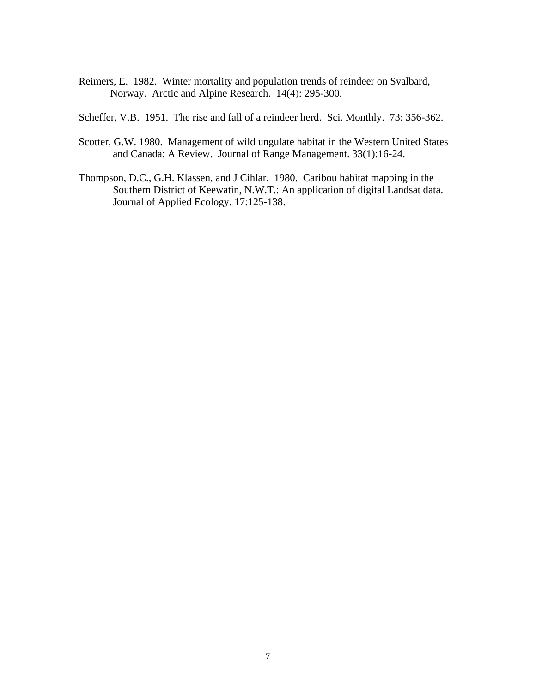- Reimers, E. 1982. Winter mortality and population trends of reindeer on Svalbard, Norway. Arctic and Alpine Research. 14(4): 295-300.
- Scheffer, V.B. 1951. The rise and fall of a reindeer herd. Sci. Monthly. 73: 356-362.
- Scotter, G.W. 1980. Management of wild ungulate habitat in the Western United States and Canada: A Review. Journal of Range Management. 33(1):16-24.
- Thompson, D.C., G.H. Klassen, and J Cihlar. 1980. Caribou habitat mapping in the Southern District of Keewatin, N.W.T.: An application of digital Landsat data. Journal of Applied Ecology. 17:125-138.